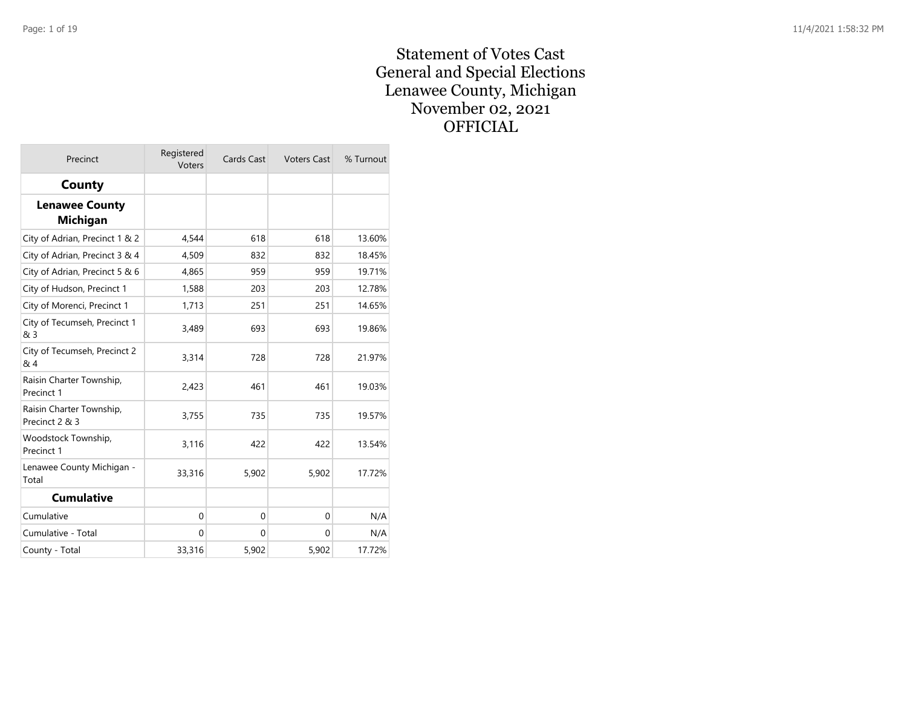#### Statement of Votes Cast General and Special Elections Lenawee County, Michigan November 02, 2021 **OFFICIAL**

| Precinct                                   | Registered<br>Voters | Cards Cast | <b>Voters Cast</b> | % Turnout |
|--------------------------------------------|----------------------|------------|--------------------|-----------|
| County                                     |                      |            |                    |           |
| <b>Lenawee County</b><br><b>Michigan</b>   |                      |            |                    |           |
| City of Adrian, Precinct 1 & 2             | 4,544                | 618        | 618                | 13.60%    |
| City of Adrian, Precinct 3 & 4             | 4,509                | 832        | 832                | 18.45%    |
| City of Adrian, Precinct 5 & 6             | 4,865                | 959        | 959                | 19.71%    |
| City of Hudson, Precinct 1                 | 1,588                | 203        | 203                | 12.78%    |
| City of Morenci, Precinct 1                | 1,713                | 251        | 251                | 14.65%    |
| City of Tecumseh, Precinct 1<br>& 3        | 3,489                | 693        | 693                | 19.86%    |
| City of Tecumseh, Precinct 2<br>& 4        | 3,314                | 728        | 728                | 21.97%    |
| Raisin Charter Township,<br>Precinct 1     | 2,423                | 461        | 461                | 19.03%    |
| Raisin Charter Township,<br>Precinct 2 & 3 | 3,755                | 735        | 735                | 19.57%    |
| Woodstock Township,<br>Precinct 1          | 3,116                | 422        | 422                | 13.54%    |
| Lenawee County Michigan -<br>Total         | 33,316               | 5,902      | 5,902              | 17.72%    |
| <b>Cumulative</b>                          |                      |            |                    |           |
| Cumulative                                 | 0                    | 0          | $\mathbf 0$        | N/A       |
| Cumulative - Total                         | 0                    | $\Omega$   | $\Omega$           | N/A       |
| County - Total                             | 33,316               | 5,902      | 5,902              | 17.72%    |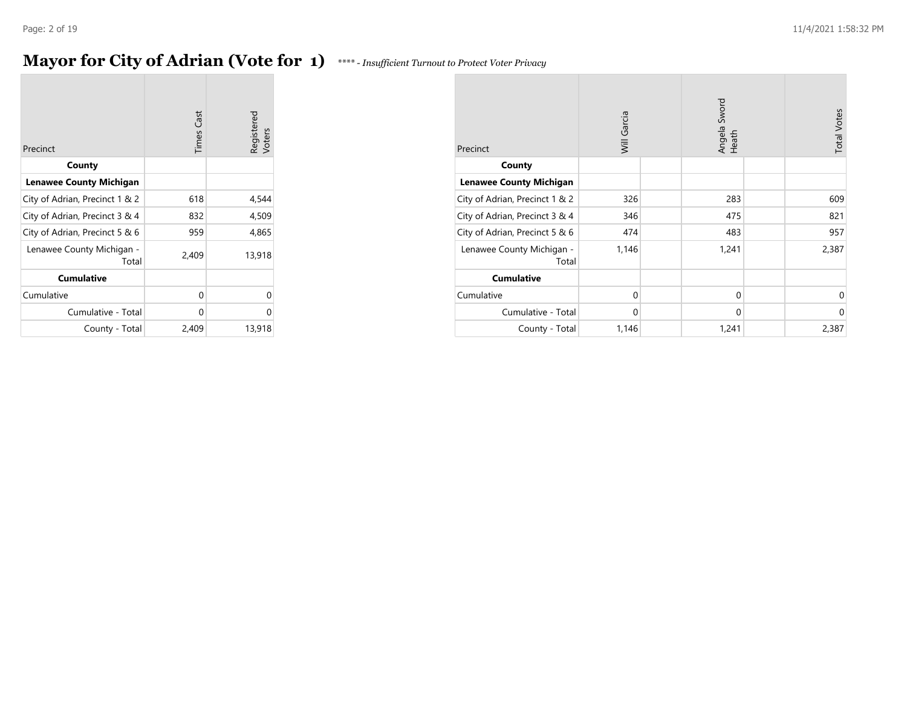### **Mayor for City of Adrian (Vote for 1)** *\*\*\*\* - Insufficient Turnout to Protect Voter Privacy*

| Precinct                           | <b>Times Cast</b> | Registered<br>Voters |
|------------------------------------|-------------------|----------------------|
| County                             |                   |                      |
| <b>Lenawee County Michigan</b>     |                   |                      |
| City of Adrian, Precinct 1 & 2     | 618               | 4,544                |
| City of Adrian, Precinct 3 & 4     | 832               | 4,509                |
| City of Adrian, Precinct 5 & 6     | 959               | 4,865                |
| Lenawee County Michigan -<br>Total | 2,409             | 13,918               |
| <b>Cumulative</b>                  |                   |                      |
| Cumulative                         | 0                 | U                    |
| Cumulative - Total                 | 0                 | U                    |
| County - Total                     | 2,409             | 13,918               |

| Precinct                           | Will Garcia |  | Angela Sword<br>Heath |  | <b>Total Votes</b> |
|------------------------------------|-------------|--|-----------------------|--|--------------------|
| County                             |             |  |                       |  |                    |
| <b>Lenawee County Michigan</b>     |             |  |                       |  |                    |
| City of Adrian, Precinct 1 & 2     | 326         |  | 283                   |  | 609                |
| City of Adrian, Precinct 3 & 4     | 346         |  | 475                   |  | 821                |
| City of Adrian, Precinct 5 & 6     | 474         |  | 483                   |  | 957                |
| Lenawee County Michigan -<br>Total | 1,146       |  | 1,241                 |  | 2,387              |
| <b>Cumulative</b>                  |             |  |                       |  |                    |
| Cumulative                         | $\Omega$    |  | $\mathbf 0$           |  | $\mathbf 0$        |
| Cumulative - Total                 | $\Omega$    |  | 0                     |  | $\mathbf 0$        |
| County - Total                     | 1,146       |  | 1,241                 |  | 2,387              |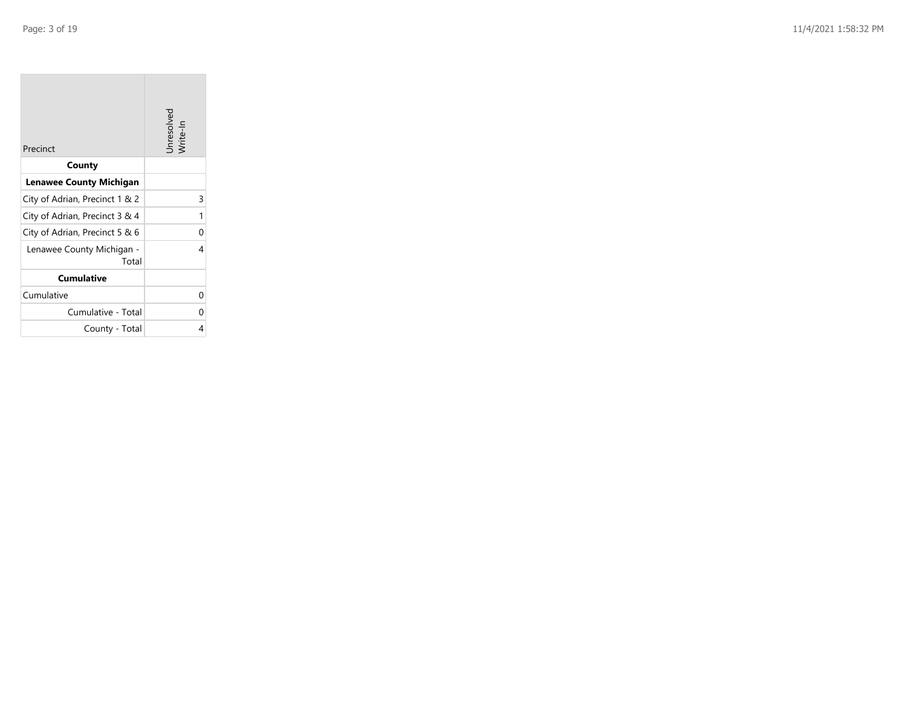| Precinct                           | Unresolved<br>Write-In |
|------------------------------------|------------------------|
| County                             |                        |
| <b>Lenawee County Michigan</b>     |                        |
| City of Adrian, Precinct 1 & 2     | 3                      |
| City of Adrian, Precinct 3 & 4     | 1                      |
| City of Adrian, Precinct 5 & 6     | ი                      |
| Lenawee County Michigan -<br>Total | 4                      |
| <b>Cumulative</b>                  |                        |
| Cumulative                         | 0                      |
| Cumulative - Total                 | ი                      |
| County - Total                     | 4                      |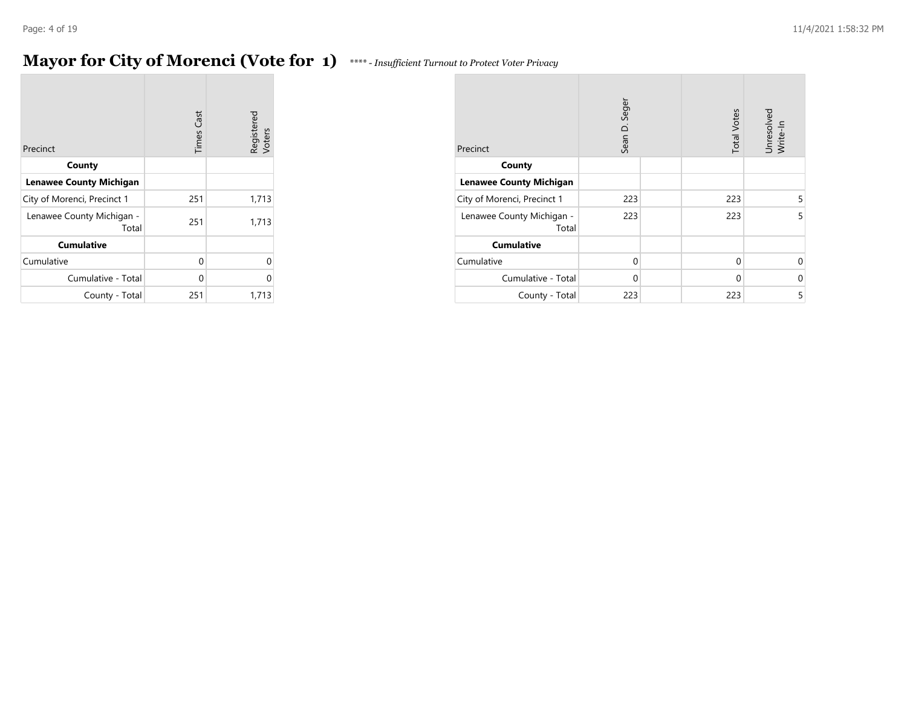### **Mayor for City of Morenci (Vote for 1)**

| **** - Insufficient Turnout to Protect Voter Privacy |  |  |
|------------------------------------------------------|--|--|
|                                                      |  |  |

| Precinct                           | <b>Times Cast</b> | Registered<br>Voters |
|------------------------------------|-------------------|----------------------|
| County                             |                   |                      |
| <b>Lenawee County Michigan</b>     |                   |                      |
| City of Morenci, Precinct 1        | 251               | 1,713                |
| Lenawee County Michigan -<br>Total | 251               | 1,713                |
| <b>Cumulative</b>                  |                   |                      |
| Cumulative                         | O                 | 0                    |
| Cumulative - Total                 | U                 | U                    |
| County - Total                     | 251               | 1,713                |

| Precinct                           | Sean D. Seger | <b>Total Votes</b> | Unresolved<br>Write-In |
|------------------------------------|---------------|--------------------|------------------------|
| County                             |               |                    |                        |
| <b>Lenawee County Michigan</b>     |               |                    |                        |
| City of Morenci, Precinct 1        | 223           | 223                | 5                      |
| Lenawee County Michigan -<br>Total | 223           | 223                | 5                      |
| <b>Cumulative</b>                  |               |                    |                        |
| Cumulative                         | $\Omega$      | 0                  | 0                      |
| Cumulative - Total                 | $\Omega$      | 0                  | 0                      |
| County - Total                     | 223           | 223                | 5                      |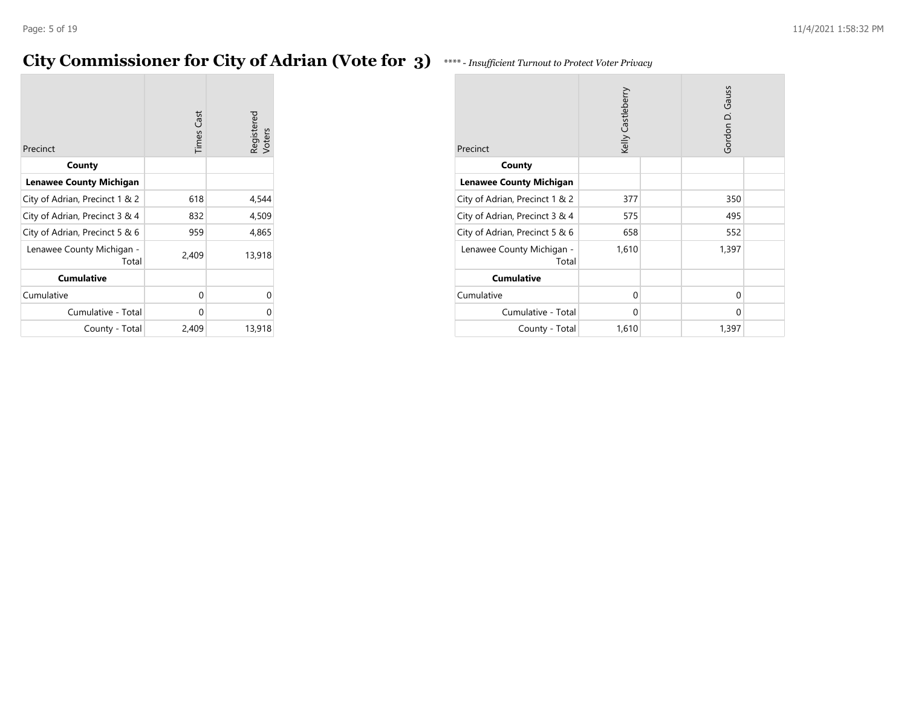### **City Commissioner for City of Adrian (Vote for 3)** *\*\*\*\* - Insufficient Turnout to Protect Voter Privacy*

|                                    | <b>Times Cast</b> | Registered<br>Voters |
|------------------------------------|-------------------|----------------------|
| Precinct                           |                   |                      |
| County                             |                   |                      |
| <b>Lenawee County Michigan</b>     |                   |                      |
| City of Adrian, Precinct 1 & 2     | 618               | 4,544                |
| City of Adrian, Precinct 3 & 4     | 832               | 4,509                |
| City of Adrian, Precinct 5 & 6     | 959               | 4,865                |
| Lenawee County Michigan -<br>Total | 2,409             | 13,918               |
| <b>Cumulative</b>                  |                   |                      |
| Cumulative                         | 0                 |                      |
| Cumulative - Total                 | 0                 | U                    |
| County - Total                     | 2,409             | 13,918               |

| Precinct                           | Kelly Castleberry | Gordon D. Gauss |  |
|------------------------------------|-------------------|-----------------|--|
| County                             |                   |                 |  |
| <b>Lenawee County Michigan</b>     |                   |                 |  |
| City of Adrian, Precinct 1 & 2     | 377               | 350             |  |
| City of Adrian, Precinct 3 & 4     | 575               | 495             |  |
| City of Adrian, Precinct 5 & 6     | 658               | 552             |  |
| Lenawee County Michigan -<br>Total | 1,610             | 1,397           |  |
| <b>Cumulative</b>                  |                   |                 |  |
| Cumulative                         | 0                 | 0               |  |
| Cumulative - Total                 | 0                 | 0               |  |
| County - Total                     | 1,610             | 1,397           |  |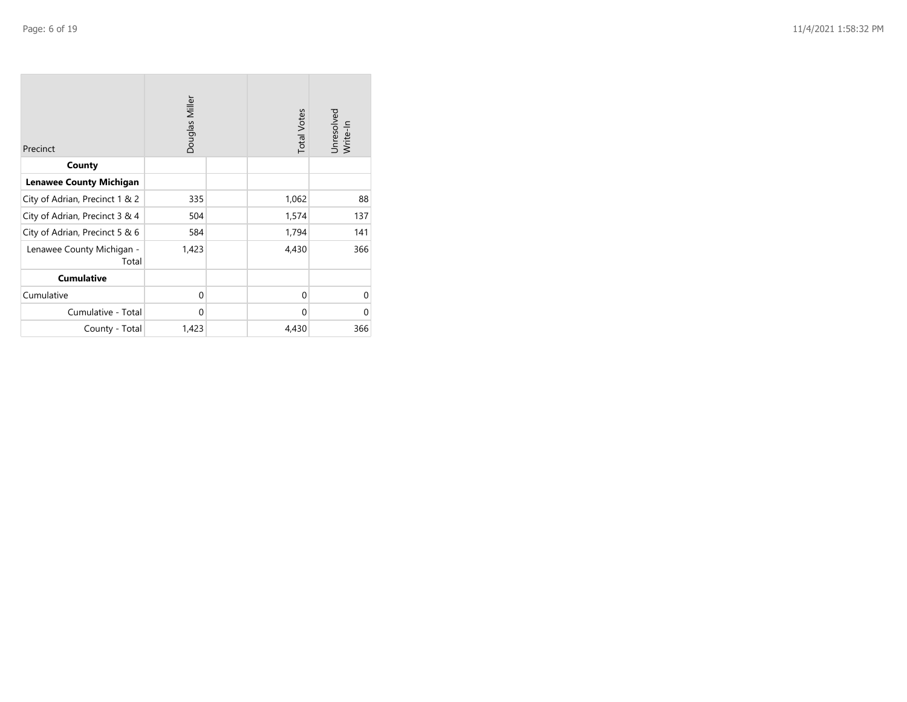| Precinct                           | Douglas Miller | <b>Total Votes</b> | Unresolved<br>Write-In |
|------------------------------------|----------------|--------------------|------------------------|
| County                             |                |                    |                        |
| <b>Lenawee County Michigan</b>     |                |                    |                        |
| City of Adrian, Precinct 1 & 2     | 335            | 1,062              | 88                     |
| City of Adrian, Precinct 3 & 4     | 504            | 1,574              | 137                    |
| City of Adrian, Precinct 5 & 6     | 584            | 1,794              | 141                    |
| Lenawee County Michigan -<br>Total | 1,423          | 4,430              | 366                    |
| <b>Cumulative</b>                  |                |                    |                        |
| Cumulative                         | $\mathbf 0$    | 0                  | $\mathbf 0$            |
| Cumulative - Total                 | $\mathbf 0$    | 0                  | $\mathbf 0$            |
| County - Total                     | 1,423          | 4,430              | 366                    |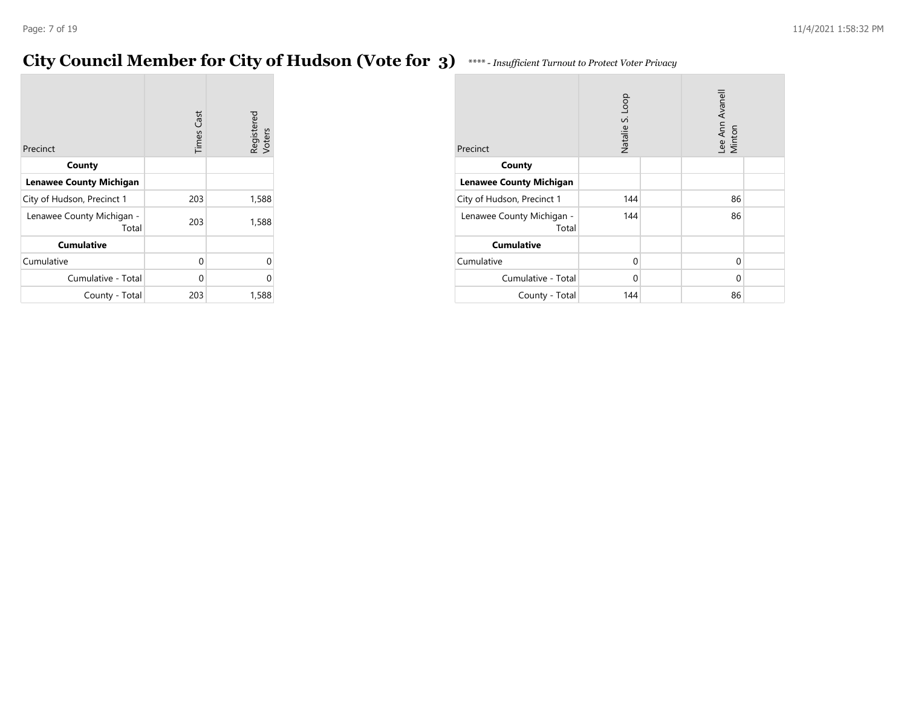### **City Council Member for City of Hudson (Vote for 3)** *\*\*\*\* - Insufficient Turnout to Protect Voter Privacy*

|                                    | <b>Times Cast</b> | Registered<br>Voters |
|------------------------------------|-------------------|----------------------|
| Precinct                           |                   |                      |
| County                             |                   |                      |
| <b>Lenawee County Michigan</b>     |                   |                      |
| City of Hudson, Precinct 1         | 203               | 1,588                |
| Lenawee County Michigan -<br>Total | 203               | 1,588                |
| <b>Cumulative</b>                  |                   |                      |
| Cumulative                         | 0                 | U                    |
| Cumulative - Total                 | 0                 | U                    |
| County - Total                     | 203               | 1,588                |

| Precinct                           | Natalie S. Loop |  | Lee Ann Avanell<br>Minton |  |
|------------------------------------|-----------------|--|---------------------------|--|
| County                             |                 |  |                           |  |
| <b>Lenawee County Michigan</b>     |                 |  |                           |  |
| City of Hudson, Precinct 1         | 144             |  | 86                        |  |
| Lenawee County Michigan -<br>Total | 144             |  | 86                        |  |
| <b>Cumulative</b>                  |                 |  |                           |  |
| Cumulative                         | 0               |  | 0                         |  |
| Cumulative - Total                 | 0               |  | 0                         |  |
| County - Total                     | 144             |  | 86                        |  |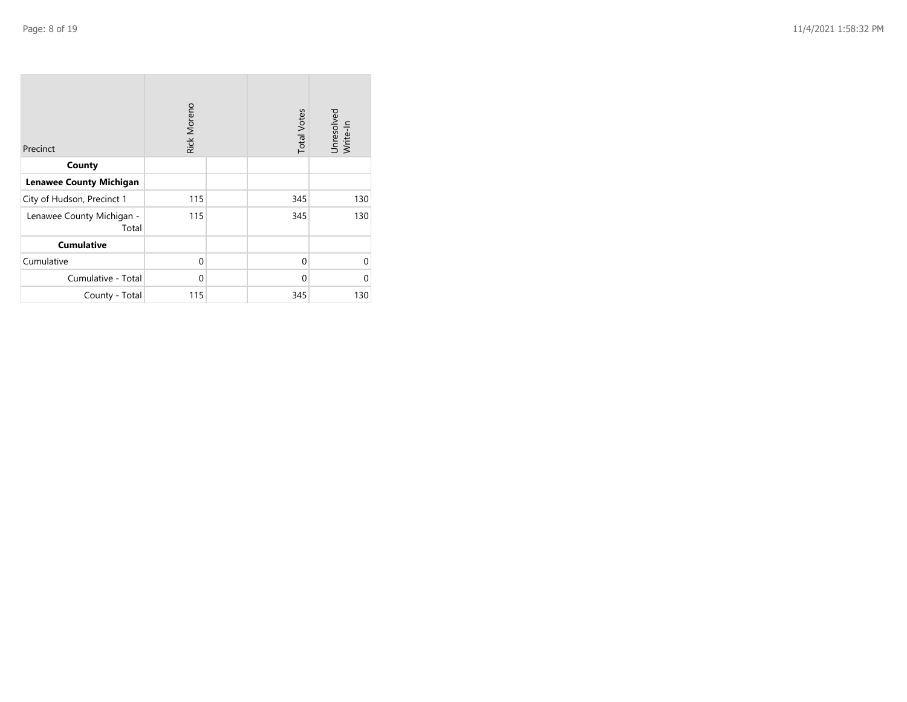| Precinct                           | Rick Moreno | <b>Total Votes</b> | Unresolved<br>Write-In |
|------------------------------------|-------------|--------------------|------------------------|
| County                             |             |                    |                        |
| <b>Lenawee County Michigan</b>     |             |                    |                        |
| City of Hudson, Precinct 1         | 115         | 345                | 130                    |
| Lenawee County Michigan -<br>Total | 115         | 345                | 130                    |
| <b>Cumulative</b>                  |             |                    |                        |
| Cumulative                         | $\mathbf 0$ | $\mathbf 0$        | $\Omega$               |
| Cumulative - Total                 | $\mathbf 0$ | 0                  | $\Omega$               |
| County - Total                     | 115         | 345                | 130                    |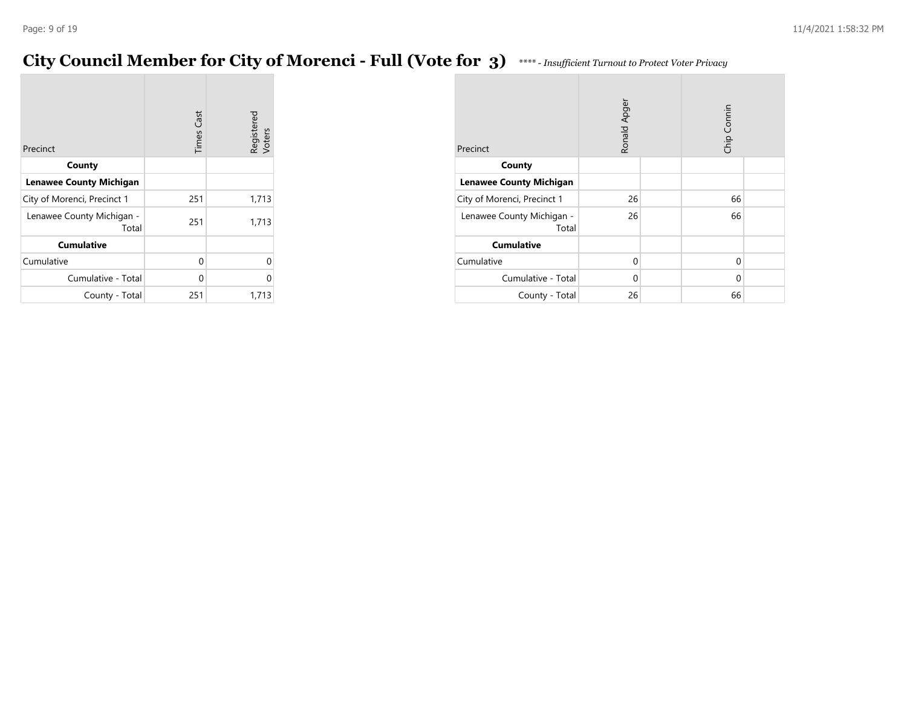### **City Council Member for City of Morenci - Full (Vote for 3)** *\*\*\*\* - Insufficient Turnout to Protect Voter Privacy*

|                                    | <b>Times Cast</b> | Registered<br>Voters |
|------------------------------------|-------------------|----------------------|
| Precinct                           |                   |                      |
| County                             |                   |                      |
| <b>Lenawee County Michigan</b>     |                   |                      |
| City of Morenci, Precinct 1        | 251               | 1,713                |
| Lenawee County Michigan -<br>Total | 251               | 1,713                |
| <b>Cumulative</b>                  |                   |                      |
| Cumulative                         | 0                 | U                    |
| Cumulative - Total                 | 0                 | ი                    |
| County - Total                     | 251               | 1,713                |

| Precinct                           | Ronald Apger |  | Chip Connin |  |
|------------------------------------|--------------|--|-------------|--|
| County                             |              |  |             |  |
| <b>Lenawee County Michigan</b>     |              |  |             |  |
| City of Morenci, Precinct 1        | 26           |  | 66          |  |
| Lenawee County Michigan -<br>Total | 26           |  | 66          |  |
| <b>Cumulative</b>                  |              |  |             |  |
| Cumulative                         | 0            |  | 0           |  |
| Cumulative - Total                 | $\Omega$     |  | 0           |  |
| County - Total                     | 26           |  | 66          |  |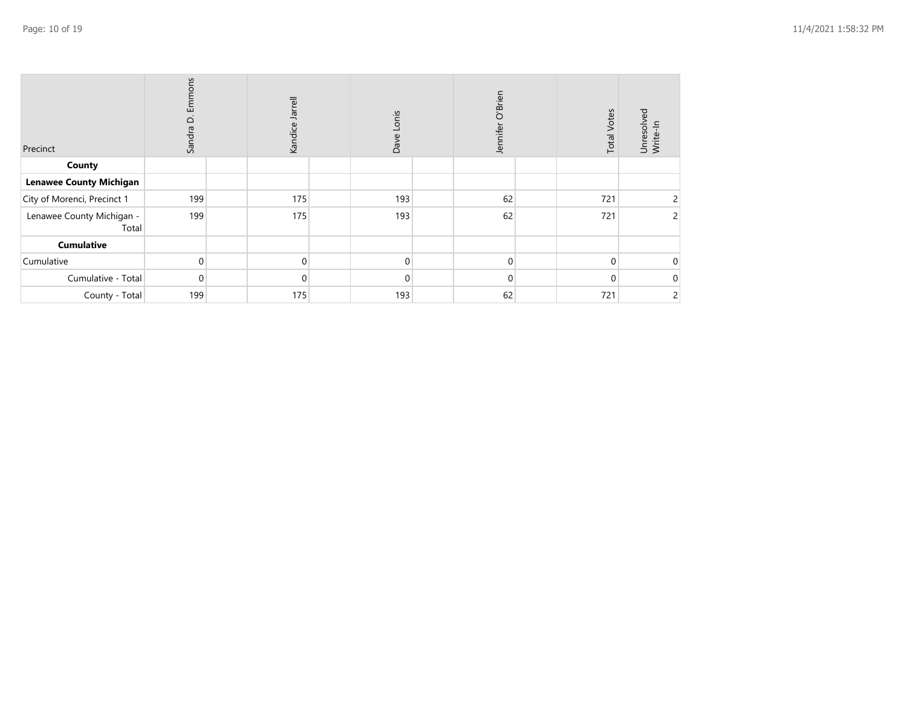| Precinct                           | ير<br>모<br>Ö<br>Sandra | Jarrell<br>Kandice. | Lonis<br>Dave | Jennifer O'Brien | <b>Total Votes</b> | Unresolved<br>Write-In |
|------------------------------------|------------------------|---------------------|---------------|------------------|--------------------|------------------------|
| County                             |                        |                     |               |                  |                    |                        |
| <b>Lenawee County Michigan</b>     |                        |                     |               |                  |                    |                        |
| City of Morenci, Precinct 1        | 199                    | 175                 | 193           | 62               | 721                |                        |
| Lenawee County Michigan -<br>Total | 199                    | 175                 | 193           | 62               | 721                | 2                      |
| Cumulative                         |                        |                     |               |                  |                    |                        |
| Cumulative                         | $\mathbf 0$            | $\mathbf 0$         | $\Omega$      | $\Omega$         | 0                  | 0                      |
| Cumulative - Total                 | $\mathbf 0$            | 0                   | $\Omega$      | $\Omega$         | 0                  | 0                      |
| County - Total                     | 199                    | 175                 | 193           | 62               | 721                | 2                      |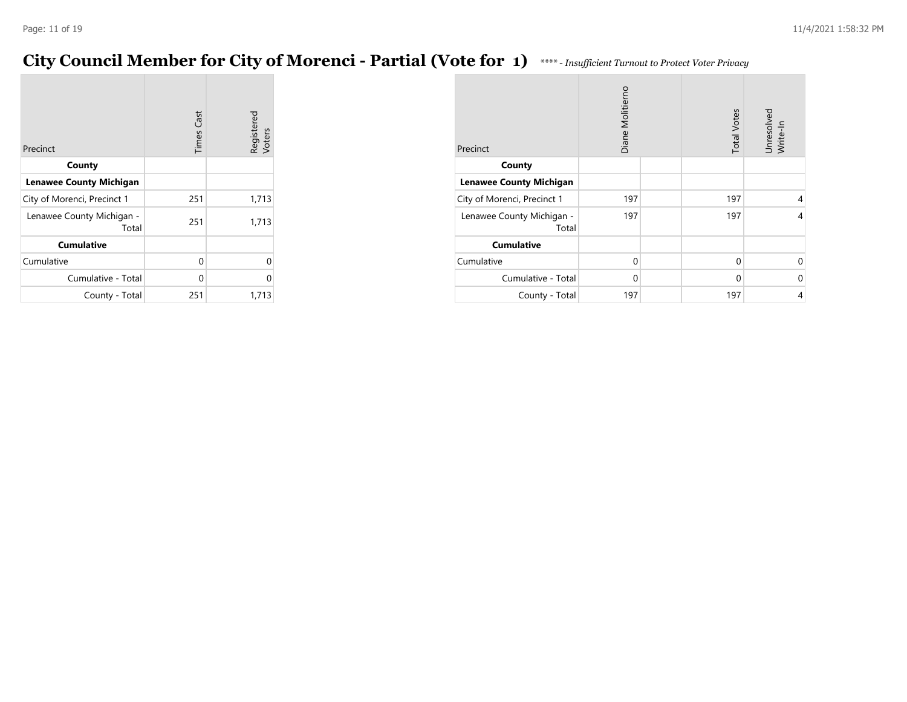### **City Council Member for City of Morenci - Partial (Vote for 1)** *\*\*\*\* - Insufficient Turnout to Protect Voter Privacy*

|                                    | <b>Times Cast</b> | Registered<br>Voters |
|------------------------------------|-------------------|----------------------|
| Precinct                           |                   |                      |
| County                             |                   |                      |
| <b>Lenawee County Michigan</b>     |                   |                      |
| City of Morenci, Precinct 1        | 251               | 1,713                |
| Lenawee County Michigan -<br>Total | 251               | 1,713                |
| <b>Cumulative</b>                  |                   |                      |
| Cumulative                         | 0                 | 0                    |
| Cumulative - Total                 | 0                 | ი                    |
| County - Total                     | 251               | 1,713                |

| Precinct                           | Diane Molitiemo | <b>Total Votes</b> | Unresolved<br>Write-In |
|------------------------------------|-----------------|--------------------|------------------------|
| County                             |                 |                    |                        |
| <b>Lenawee County Michigan</b>     |                 |                    |                        |
| City of Morenci, Precinct 1        | 197             | 197                | 4                      |
| Lenawee County Michigan -<br>Total | 197             | 197                | 4                      |
| <b>Cumulative</b>                  |                 |                    |                        |
| Cumulative                         | 0               | 0                  | ∩                      |
| Cumulative - Total                 | $\mathbf 0$     | 0                  | $\Omega$               |
| County - Total                     | 197             | 197                | 4                      |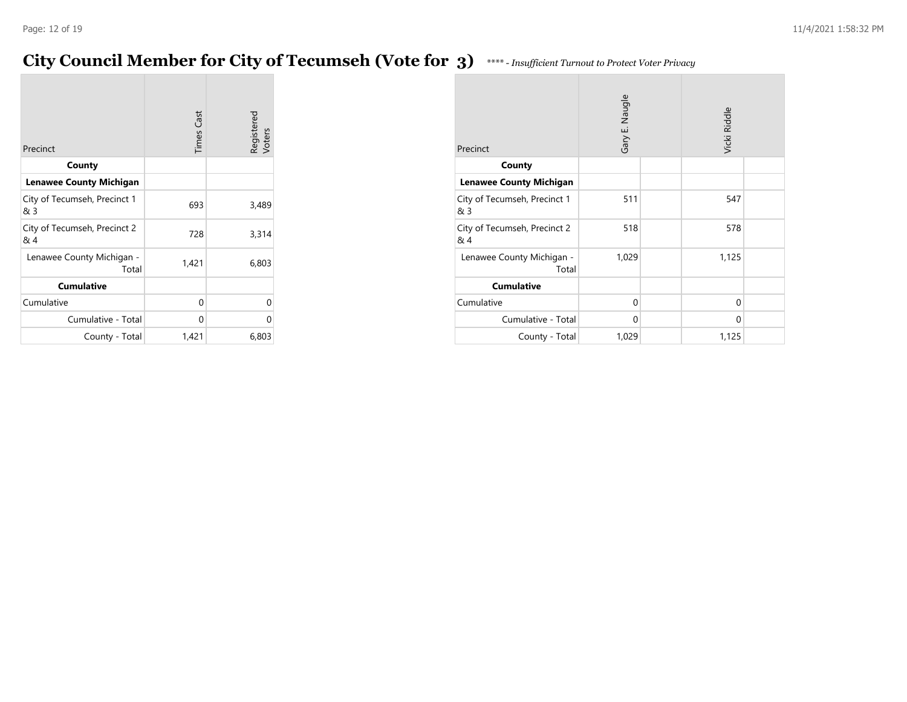### **City Council Member for City of Tecumseh (Vote for 3)** *\*\*\*\* - Insufficient Turnout to Protect Voter Privacy*

| Precinct                            | <b>Times Cast</b> | Registered<br>Voters |
|-------------------------------------|-------------------|----------------------|
| County                              |                   |                      |
| <b>Lenawee County Michigan</b>      |                   |                      |
| City of Tecumseh, Precinct 1<br>& 3 | 693               | 3,489                |
| City of Tecumseh, Precinct 2<br>& 4 | 728               | 3,314                |
| Lenawee County Michigan -<br>Total  | 1,421             | 6,803                |
| <b>Cumulative</b>                   |                   |                      |
| Cumulative                          | 0                 | 0                    |
| Cumulative - Total                  | 0                 | U                    |
| County - Total                      | 1,421             | 6,803                |

| Precinct                            | Gary E. Naugle |  | Vicki Riddle |  |
|-------------------------------------|----------------|--|--------------|--|
| County                              |                |  |              |  |
| <b>Lenawee County Michigan</b>      |                |  |              |  |
| City of Tecumseh, Precinct 1<br>& 3 | 511            |  | 547          |  |
| City of Tecumseh, Precinct 2<br>& 4 | 518            |  | 578          |  |
| Lenawee County Michigan -<br>Total  | 1,029          |  | 1,125        |  |
| <b>Cumulative</b>                   |                |  |              |  |
| Cumulative                          | 0              |  | 0            |  |
| Cumulative - Total                  | 0              |  | $\Omega$     |  |
| County - Total                      | 1,029          |  | 1,125        |  |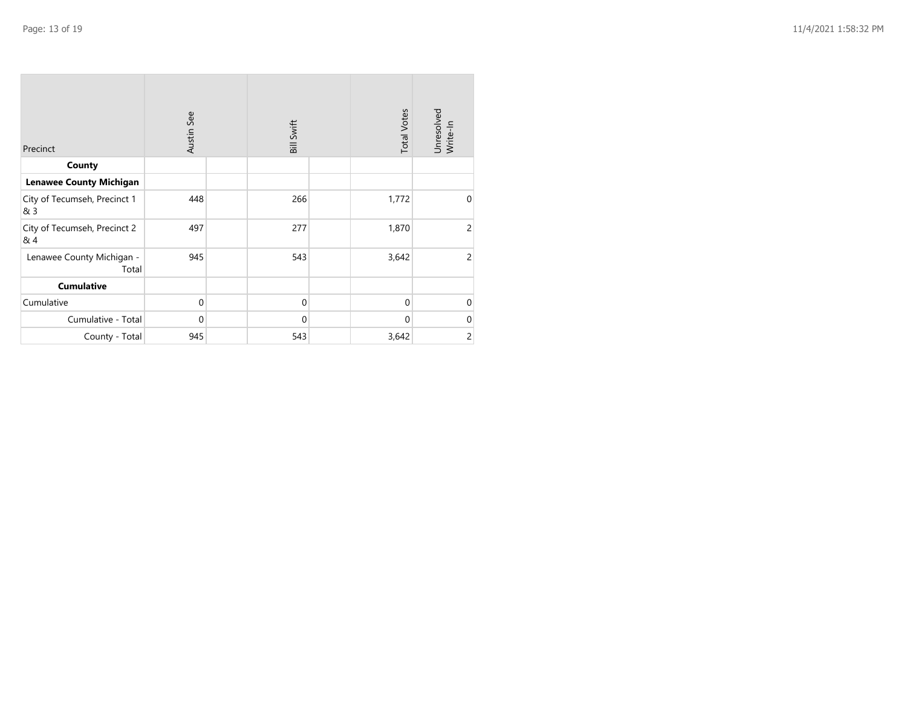| Precinct                            | Austin See | Bill Swift  | <b>Total Votes</b> | Unresolved<br>Write-In |
|-------------------------------------|------------|-------------|--------------------|------------------------|
| County                              |            |             |                    |                        |
| <b>Lenawee County Michigan</b>      |            |             |                    |                        |
|                                     |            |             |                    |                        |
| City of Tecumseh, Precinct 1<br>& 3 | 448        | 266         | 1,772              | $\mathbf 0$            |
| City of Tecumseh, Precinct 2<br>& 4 | 497        | 277         | 1,870              | $\overline{c}$         |
| Lenawee County Michigan -<br>Total  | 945        | 543         | 3,642              | 2                      |
| <b>Cumulative</b>                   |            |             |                    |                        |
| Cumulative                          | $\Omega$   | $\mathbf 0$ | $\Omega$           | $\mathbf 0$            |
| Cumulative - Total                  | $\Omega$   | $\Omega$    | $\Omega$           | $\mathbf 0$            |
| County - Total                      | 945        | 543         | 3,642              | $\overline{c}$         |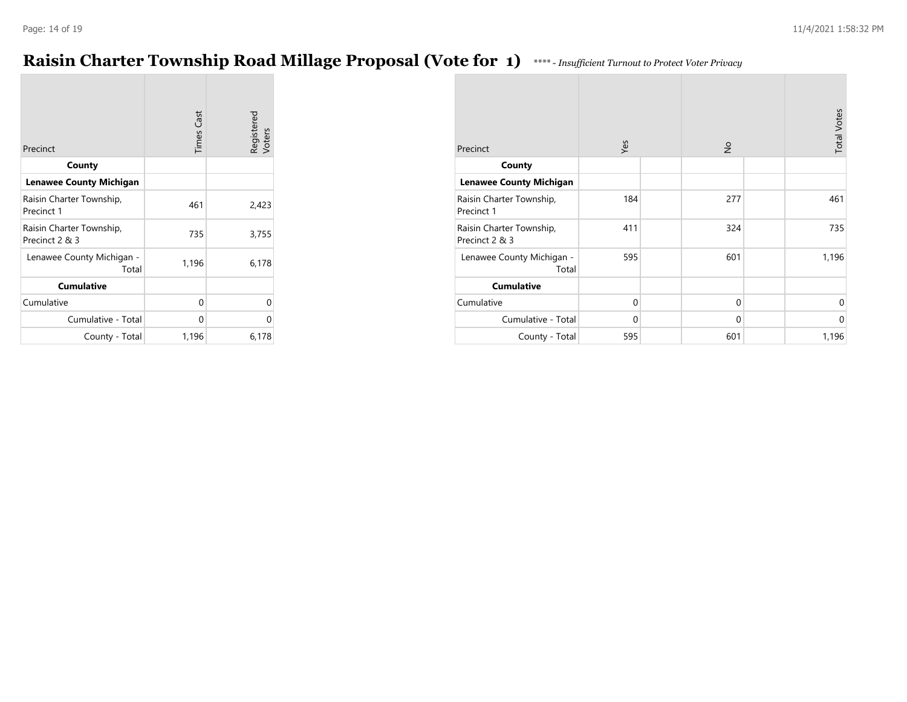### **Raisin Charter Township Road Millage Proposal (Vote for 1)** *\*\*\*\* - Insufficient Turnout to Protect Voter Privacy*

| Precinct                                   | <b>Times Cast</b> | Registered<br>Voters |
|--------------------------------------------|-------------------|----------------------|
| County                                     |                   |                      |
| <b>Lenawee County Michigan</b>             |                   |                      |
| Raisin Charter Township,<br>Precinct 1     | 461               | 2,423                |
| Raisin Charter Township,<br>Precinct 2 & 3 | 735               | 3,755                |
| Lenawee County Michigan -<br>Total         | 1,196             | 6,178                |
| <b>Cumulative</b>                          |                   |                      |
| Cumulative                                 | 0                 | 0                    |
| Cumulative - Total                         | 0                 | U                    |
| County - Total                             | 1,196             | 6,178                |

| Precinct                                   | Yes         | $\frac{1}{2}$ | <b>Total Votes</b> |
|--------------------------------------------|-------------|---------------|--------------------|
| County                                     |             |               |                    |
| <b>Lenawee County Michigan</b>             |             |               |                    |
| Raisin Charter Township,<br>Precinct 1     | 184         | 277           | 461                |
| Raisin Charter Township,<br>Precinct 2 & 3 | 411         | 324           | 735                |
| Lenawee County Michigan -<br>Total         | 595         | 601           | 1,196              |
| <b>Cumulative</b>                          |             |               |                    |
| Cumulative                                 | $\mathbf 0$ | $\mathbf 0$   | 0                  |
| Cumulative - Total                         | $\mathbf 0$ | $\mathbf 0$   | $\mathbf 0$        |
| County - Total                             | 595         | 601           | 1,196              |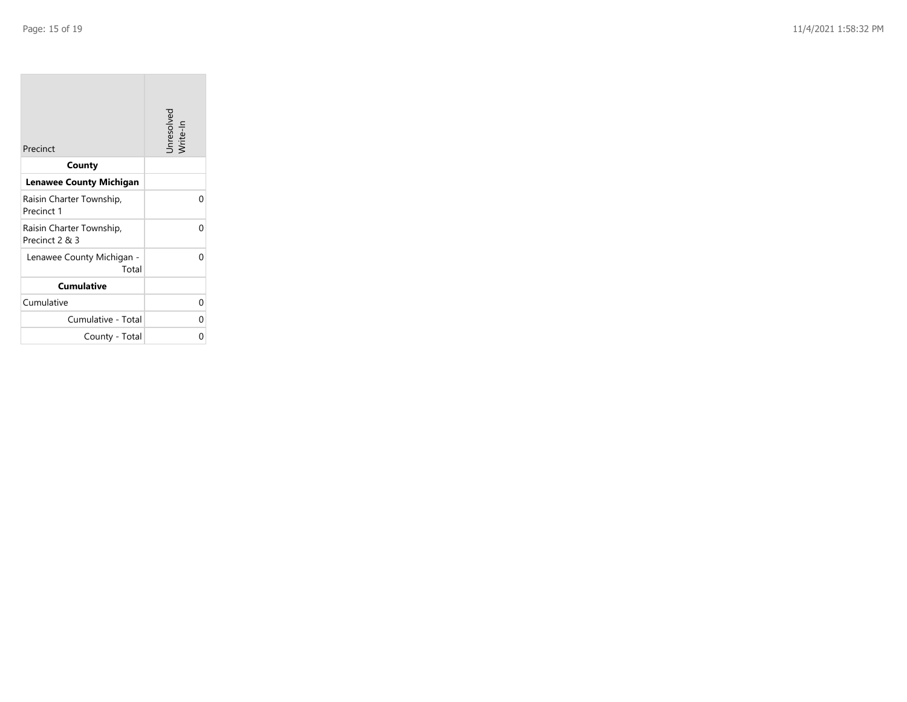| Precinct                                   | Unresolved<br>Write-In |
|--------------------------------------------|------------------------|
| County                                     |                        |
| <b>Lenawee County Michigan</b>             |                        |
| Raisin Charter Township,<br>Precinct 1     | O                      |
| Raisin Charter Township,<br>Precinct 2 & 3 | U                      |
| Lenawee County Michigan -<br>Total         | U                      |
| <b>Cumulative</b>                          |                        |
| Cumulative                                 | 0                      |
| Cumulative - Total                         | ი                      |
| County - Total                             | ი                      |

the control of the control of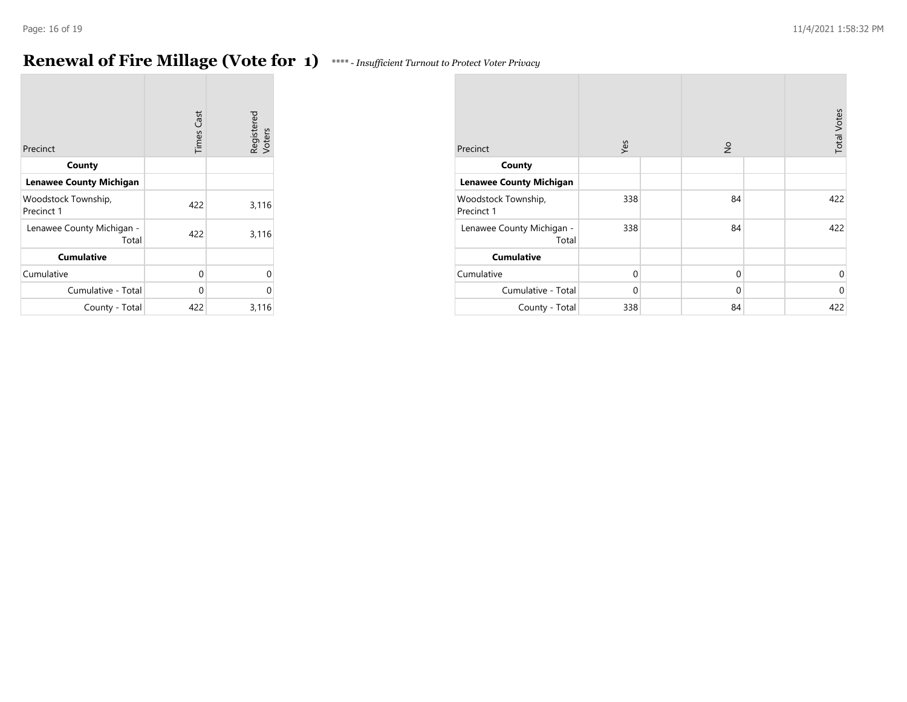## **Renewal of Fire Millage (Vote for 1)** *\*\*\*\* - Insufficient Turnout to Protect Voter Privacy*

| **** - Insufficient Turnout to Protect Voter Privacy |  |  |
|------------------------------------------------------|--|--|
|                                                      |  |  |

| Precinct                           | <b>Times Cast</b> | Registered<br>Voters |
|------------------------------------|-------------------|----------------------|
| County                             |                   |                      |
| <b>Lenawee County Michigan</b>     |                   |                      |
| Woodstock Township,<br>Precinct 1  | 422               | 3,116                |
| Lenawee County Michigan -<br>Total | 422               | 3,116                |
| <b>Cumulative</b>                  |                   |                      |
| Cumulative                         | 0                 | 0                    |
| Cumulative - Total                 | 0                 | $\Omega$             |
| County - Total                     | 422               | 3,116                |

| Precinct                           | Yes         |  | $\frac{1}{2}$ |  | <b>Total Votes</b> |
|------------------------------------|-------------|--|---------------|--|--------------------|
| County                             |             |  |               |  |                    |
| <b>Lenawee County Michigan</b>     |             |  |               |  |                    |
| Woodstock Township,<br>Precinct 1  | 338         |  | 84            |  | 422                |
| Lenawee County Michigan -<br>Total | 338         |  | 84            |  | 422                |
| <b>Cumulative</b>                  |             |  |               |  |                    |
| Cumulative                         | $\mathbf 0$ |  | $\mathbf 0$   |  | 0                  |
| Cumulative - Total                 | 0           |  | $\mathbf 0$   |  | $\mathbf 0$        |
| County - Total                     | 338         |  | 84            |  | 422                |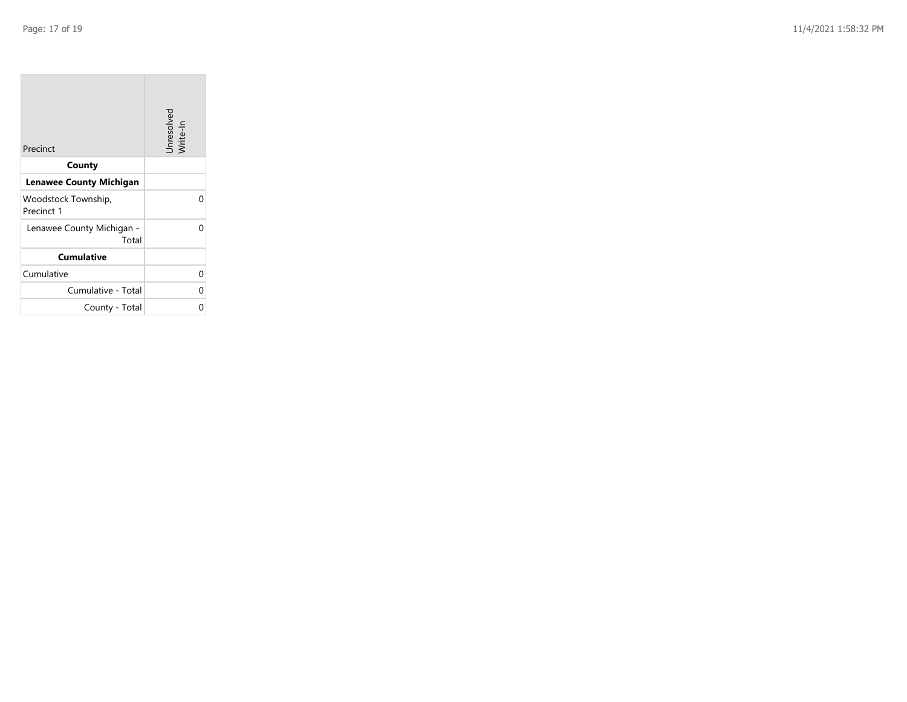**The State** 

| Precinct                           | Unresolved<br>Write-In |
|------------------------------------|------------------------|
| County                             |                        |
| Lenawee County Michigan            |                        |
| Woodstock Township,<br>Precinct 1  |                        |
| Lenawee County Michigan -<br>Total |                        |
| <b>Cumulative</b>                  |                        |
| Cumulative                         | n                      |
| Cumulative - Total                 |                        |
| County - Total                     |                        |

the control of the control of the control of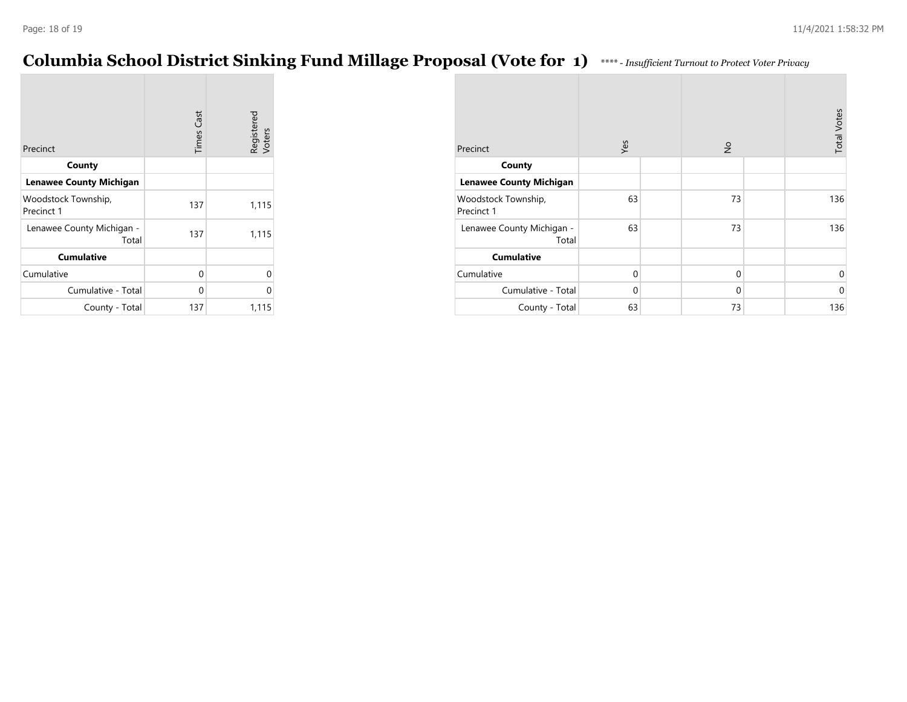# **Columbia School District Sinking Fund Millage Proposal (Vote for 1)** *\*\*\*\* - Insufficient Turnout to Protect Voter Privacy*

|                                    | <b>Times Cast</b> | Registered<br>Voters |
|------------------------------------|-------------------|----------------------|
| Precinct                           |                   |                      |
| County                             |                   |                      |
| <b>Lenawee County Michigan</b>     |                   |                      |
| Woodstock Township,<br>Precinct 1  | 137               | 1,115                |
| Lenawee County Michigan -<br>Total | 137               | 1,115                |
| <b>Cumulative</b>                  |                   |                      |
| Cumulative                         | 0                 | U                    |
| Cumulative - Total                 | 0                 | በ                    |
| County - Total                     | 137               | 1,115                |

| Precinct                           | Yes         |  |             | $\frac{1}{2}$ |             |
|------------------------------------|-------------|--|-------------|---------------|-------------|
| County                             |             |  |             |               |             |
| <b>Lenawee County Michigan</b>     |             |  |             |               |             |
| Woodstock Township,<br>Precinct 1  | 63          |  | 73          |               | 136         |
| Lenawee County Michigan -<br>Total | 63          |  | 73          |               | 136         |
| <b>Cumulative</b>                  |             |  |             |               |             |
| Cumulative                         | $\mathbf 0$ |  | $\mathbf 0$ |               | 0           |
| Cumulative - Total                 | 0           |  | 0           |               | $\mathbf 0$ |
| County - Total                     | 63          |  | 73          |               | 136         |